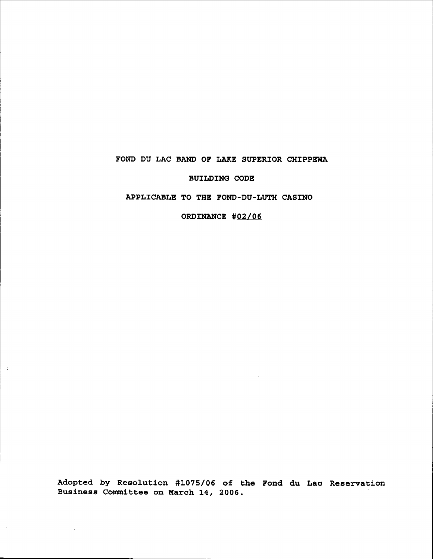# FOND DU LAC BAND OF LAKE SUPERIOR CHIPPEWA

BUILDING CODE

## APPLICABLE TO THE FOND-DU-LOTH CASINO

ORDINANCE #02/06

Adopted by Resolution #1075/06 of the Fond du Lac Reservation Business Committee on March 14, 2006.

 $\pm$   $^{-1}$ 

 $\bar{z}$ 

 $\mathbf{r}$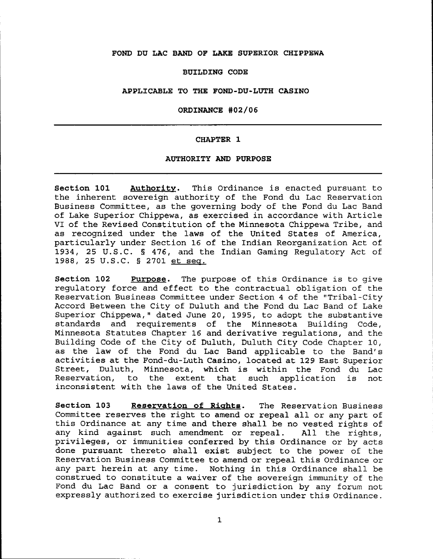## **FOND DU LAC BAND OF LAKE SUPERIOR CHIPPEWA**

### **BUILDING CODE**

#### **APPLICABLE TO THE FOND-DU-LUTH CASINO**

#### **ORDINANCE #02/06**

### **CHAPTER 1**

### **AUTHORITY AND PURPOSE**

**Section 101 Authoritv.** This Ordinance is enacted pursuant to the inherent sovereign authority of the Fond du Lac Reservation Business Committee, as the governing body of the Fond du Lac Band of Lake Superior Chippewa, as exercised in accordance with Article VI of the Revised Constitution of the Minnesota Chippewa Tribe, and as recognized under the laws of the United States of America, particularly under Section 16 of the Indian Reorganization Act of 1934, 25 U.S.C. § 476, and the Indian Gaming Regulatory Act of 1988, 25 U.S.C. § 2701 et seq.

**Section 102 Purpose.** The purpose of this Ordinance is to give regulatory force and effect to the contractual obligation of the Reservation Business Committee under Section 4 of the "Tribal-City Accord Between the City of Duluth and the Fond du Lac Band of Lake Superior Chippewa," dated June 20, 1995, to adopt the substantive standards and requirements of the Minnesota Building Code, Minnesota Statutes Chapter 16 and derivative regulations, and the Building Code of the City of Duluth, Duluth City Code Chapter 10, as the law of the Fond du Lac Band applicable to the Band's activities at the Fond-du-Luth Casino, located at 129 East Superior Street, Duluth, Minnesota, which is within the Fond du Lac Reservation, to the extent that such application is not inconsistent with the laws of the United States.

**Section 103 Reservation of Rights.** The Reservation Business Committee reserves the right to amend or repeal all or any part of this Ordinance at any time and there shall be no vested rights of any kind against such amendment or repeal. All the rights, privileges, or immunities conferred by this Ordinance or by acts done pursuant thereto shall exist subject to the power of the Reservation Business Committee to amend or repeal this Ordinance or any part herein at any time. Nothing in this Ordinance shall be construed to constitute a waiver of the sovereign immunity of the Fond du Lac Band or <sup>a</sup> consent to jurisdiction by any forum not expressly authorized to exercise jurisdiction under this Ordinance.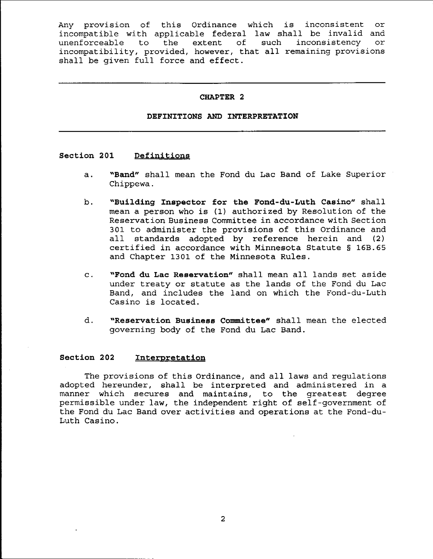Any provision of this Ordinance which is inconsistent or incompatible with applicable federal law shall be invalid and<br>unenforceable to the extent of such inconsistency or unenforceable to the incompatibility, provided, however, that all remaining provisions shall be given full force and effect.

## **CHAPTER 2**

## **DEFINITIONS AND INTERPRETATION**

# **Section 201 Definitions**

- a. **"Band"** shall mean the Fond du Lac Band of Lake Superior Chippewa.
- b. **"Building Inspector for the Fond-du-Luth Casino"** shall mean <sup>a</sup> person who is (1) authorized by Resolution of the Reservation Business Committee in accordance with Section 301 to administer the provisions of this Ordinance and all standards adopted by reference herein and (2) certified in accordance with Minnesota Statute § 16B.65 and Chapter 1301 of the Minnesota Rules.
- c. **"Fond du Lac Reservation"** shall mean all lands set aside under treaty or statute as the lands of the Fond du Lac Band, and includes the land on which the Fond-du-Luth Casino is located.
- d. **"Reservation Business Committee"** shall mean the elected governing body of the Fond du Lac Band.

## **Section 202 Interpretation**

The provisions of this Ordinance, and all laws and regulations adopted hereunder, shall be interpreted and administered in a manner which secures and maintains, to the greatest degree permissible under law, the independent right of self-government of the Fond du Lac Band over activities and operations at the Fond-du-Luth Casino.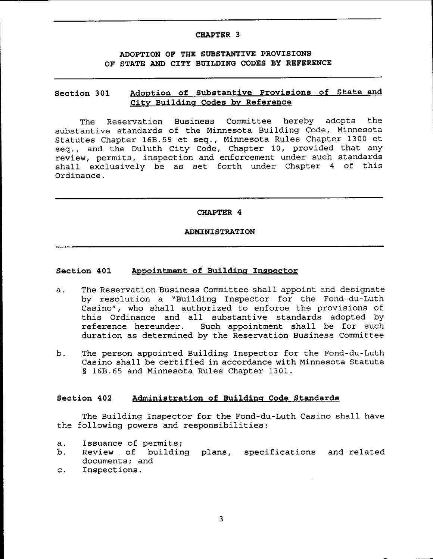## **CHAPTER 3**

# **ADOPTION OF THE SUBSTANTIVE PROVISIONS OF STATE AND CITY BUILDING CODES BY REFERENCE**

# **Section 301 Adoption of Substantive Provisions of State and City Building Codes by Reference**

The Reservation Business Committee hereby adopts the substantive standards of the Minnesota Building Code, Minnesota Statutes Chapter 16B.59 et seq., Minnesota Rules Chapter 1300 et seq., and the Duluth City Code, Chapter 10, provided that any review, permits, inspection and enforcement under such standards shall exclusively be as set forth under Chapter <sup>4</sup> of this Ordinance.

## **CHAPTER 4**

# **ADMINISTRATION**

# **Section 401 Appointment of Building Inspector**

- a. The Reservation Business Committee shall appoint and designate by resolution a "Building Inspector for the Fond-du-Luth Casino", who shall authorized to enforce the provisions of this Ordinance and all substantive standards adopted by reference hereunder. Such appointment shall be for such duration as determined by the Reservation Business Committee
- b. The person appointed Building Inspector for the Fond-du-Luth Casino shall be certified in accordance with Minnesota Statute § 16B.65 and Minnesota Rules Chapter 1301.

## **Section 402 Administration of Building Code Standards**

The Building Inspector for the Fond-du-Luth Casino shall have the following powers and responsibilities:

- a. Issuance of permits;
- b. ---------------------,<br>Review of building plans, specifications and related documents; and
- c. Inspections.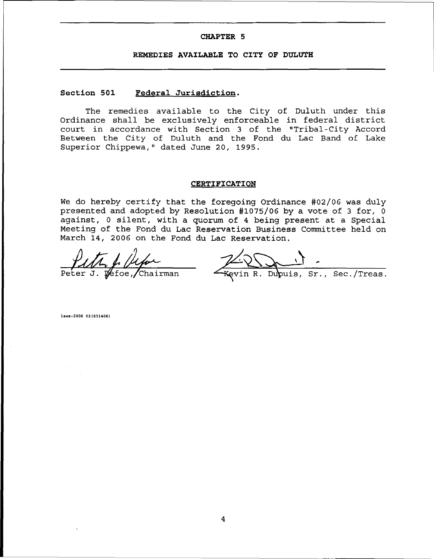#### **CHAPTER 5**

#### **REMEDIES AVAILABLE TO CITY OF DULUTH**

# **Section 501 Federal Jurisdiction.**

The remedies available to the City of Duluth under this Ordinance shall be exclusively enforceable in federal district court in accordance with Section 3 of the "Tribal-City Accord Between the City of Duluth and the Fond du Lac Band of Lake Superior Chippewa," dated June 20, 1995.

#### **CERTIFICATION**

We do hereby certify that the foregoing Ordinance #02/06 was duly presented and adopted by Resolution #1075/06 by a vote of 3 for, 0 against, <sup>0</sup> silent, with <sup>a</sup> quorum of <sup>4</sup> being present at <sup>a</sup> Special Meeting of the Fond du Lac Reservation Business Committee held on March 14, 2006 on the Fond du Lac Reservation.

 $\sqrt{6}$ foe, /Chairman Peter

Kevin R. Dupuis, Sr., Sec./Treas.

hw.,200602(031406)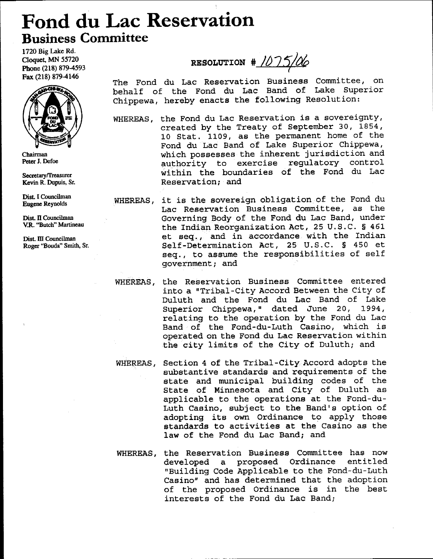# **Fond du Lac Reservation Business Committee**

1720 Big Lake Rd. Cloquet. MN 55720 Phone (218) 879-4593 Fax (218) 879-4146



Chairman Peter 1. Defoe

Secretary/Treasurer Kevin R. Dupuis, Sr.

Dist. I Councilman Eugene Reynolds

Dist. II Councilman V.R. "Butch" Martineau

Dist. III Councilman Roger ''Bouda'' Smith, Sr.

**RESOLUTION #** 1075/06

The Fond du Lac Reservation Business Committee, on behalf of the Fond du Lac Band of Lake Superior Chippewa, hereby enacts the following Resolution:

- WHEREAS, the Fond du Lac Reservation is <sup>a</sup> sovereignty, created by the Treaty of September 30, 1854, 10 Stat. 1109, as the permanent home of the Fond du Lac Band of Lake Superior Chippewa, which possesses the inherent jurisdiction and authority to exercise regulatory control within the boundaries of the Fond du Lac Reservation; and
- WHEREAS, it is the sovereign obligation of the Fond du Lac Reservation Business Committee, as the Governing Body of the Fond du Lac Band, under the Indian Reorganization Act, 25 U.S.C. § 461 et seq., and *in* accordance with the Indian Self-Determination Act, 25 U.S.C. § 450 et seq., to assume the responsibilities of self government; and
- WHEREAS, the Reservation Business Committee entered into a "Tribal-City Accord Between the City of Duluth and the Fond du Lac Band of Lake Superior Chippewa," dated June 20, 1994, relating to the operation by the Fond du Lac Band of the Fond-du-Luth Casino, which is operated on the Fond du Lac Reservation within the city limits of the City of Duluth; and
- WHEREAS, Section 4 of the Tribal-City Accord adopts the substantive standards and requirements of the state and municipal building codes of the State of Minnesota and City of Duluth as applicable to the operations at the Fond-du-Luth Casino, subject to the Band's option of adopting its own Ordinance to apply those standards to activities at the Casino as the law of the Fond du Lac Band; and
- WHEREAS, the Reservation Business Committee has now<br>developed a proposed Ordinance entitled developed a proposed Ordinance "Building Code Applicable to the Fond-du-Luth Casino" and has determined that the adoption of the proposed Ordinance is in the best interests of the Fond du Lac *Bandj*